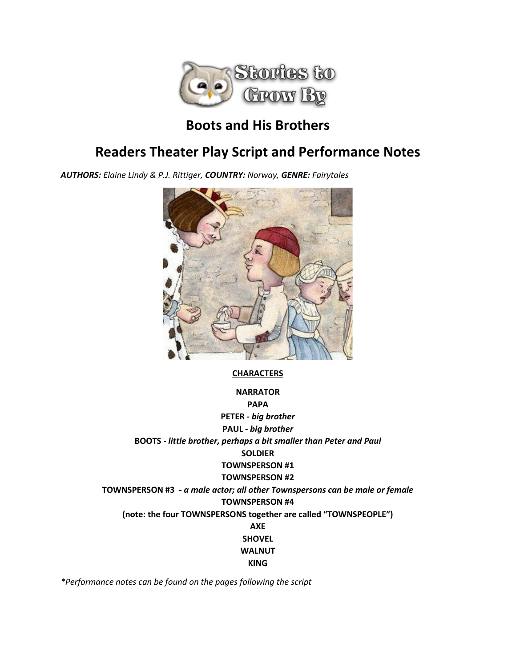

# **Boots and His Brothers**

# **Readers Theater Play Script and Performance Notes**

*AUTHORS: Elaine Lindy & P.J. Rittiger, COUNTRY: Norway, GENRE: Fairytales*



#### **CHARACTERS**

**NARRATOR PAPA PETER** *- big brother* **PAUL -** *big brother* **BOOTS** *- little brother, perhaps a bit smaller than Peter and Paul* **SOLDIER TOWNSPERSON #1 TOWNSPERSON #2 TOWNSPERSON #3 -** *a male actor; all other Townspersons can be male or female* **TOWNSPERSON #4 (note: the four TOWNSPERSONS together are called "TOWNSPEOPLE") AXE SHOVEL WALNUT KING**

*\*Performance notes can be found on the pages following the script*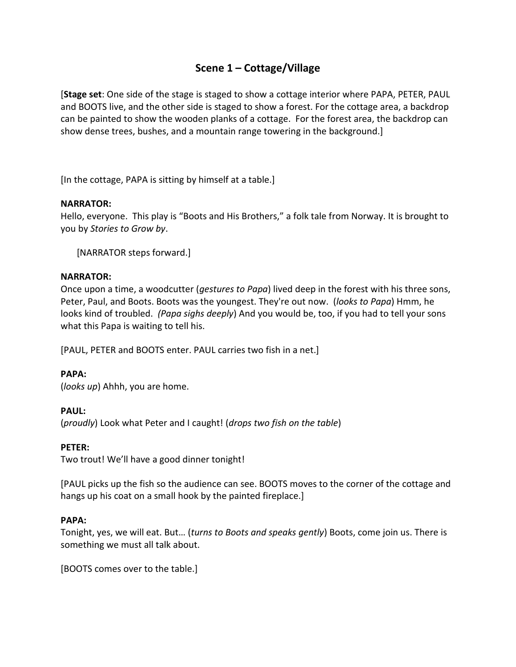## **Scene 1 – Cottage/Village**

[**Stage set**: One side of the stage is staged to show a cottage interior where PAPA, PETER, PAUL and BOOTS live, and the other side is staged to show a forest. For the cottage area, a backdrop can be painted to show the wooden planks of a cottage. For the forest area, the backdrop can show dense trees, bushes, and a mountain range towering in the background.]

[In the cottage, PAPA is sitting by himself at a table.]

#### **NARRATOR:**

Hello, everyone. This play is "Boots and His Brothers," a folk tale from Norway. It is brought to you by *Stories to Grow by*.

[NARRATOR steps forward.]

#### **NARRATOR:**

Once upon a time, a woodcutter (*gestures to Papa*) lived deep in the forest with his three sons, Peter, Paul, and Boots. Boots was the youngest. They're out now. (*looks to Papa*) Hmm, he looks kind of troubled. *(Papa sighs deeply*) And you would be, too, if you had to tell your sons what this Papa is waiting to tell his.

[PAUL, PETER and BOOTS enter. PAUL carries two fish in a net.]

#### **PAPA:**

(*looks up*) Ahhh, you are home.

#### **PAUL:**

(*proudly*) Look what Peter and I caught! (*drops two fish on the table*)

#### **PETER:**

Two trout! We'll have a good dinner tonight!

[PAUL picks up the fish so the audience can see. BOOTS moves to the corner of the cottage and hangs up his coat on a small hook by the painted fireplace.]

#### **PAPA:**

Tonight, yes, we will eat. But… (*turns to Boots and speaks gently*) Boots, come join us. There is something we must all talk about.

[BOOTS comes over to the table.]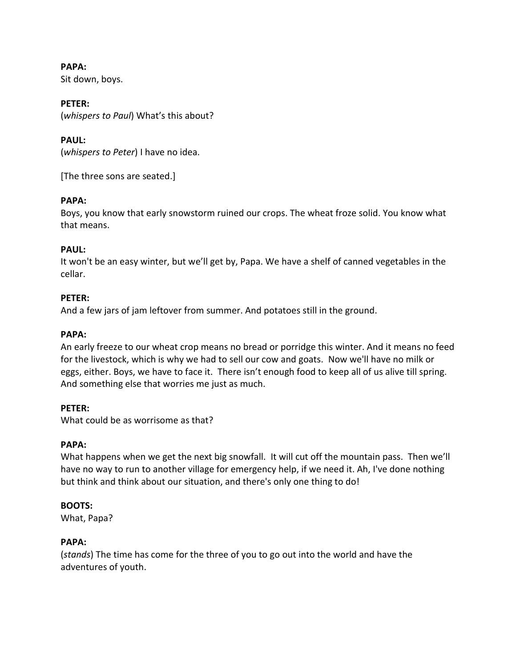**PAPA:** Sit down, boys.

**PETER:** (*whispers to Paul*) What's this about?

**PAUL:** (*whispers to Peter*) I have no idea.

[The three sons are seated.]

## **PAPA:**

Boys, you know that early snowstorm ruined our crops. The wheat froze solid. You know what that means.

## **PAUL:**

It won't be an easy winter, but we'll get by, Papa. We have a shelf of canned vegetables in the cellar.

## **PETER:**

And a few jars of jam leftover from summer. And potatoes still in the ground.

## **PAPA:**

An early freeze to our wheat crop means no bread or porridge this winter. And it means no feed for the livestock, which is why we had to sell our cow and goats. Now we'll have no milk or eggs, either. Boys, we have to face it. There isn't enough food to keep all of us alive till spring. And something else that worries me just as much.

## **PETER:**

What could be as worrisome as that?

## **PAPA:**

What happens when we get the next big snowfall. It will cut off the mountain pass. Then we'll have no way to run to another village for emergency help, if we need it. Ah, I've done nothing but think and think about our situation, and there's only one thing to do!

## **BOOTS:**

What, Papa?

## **PAPA:**

(*stands*) The time has come for the three of you to go out into the world and have the adventures of youth.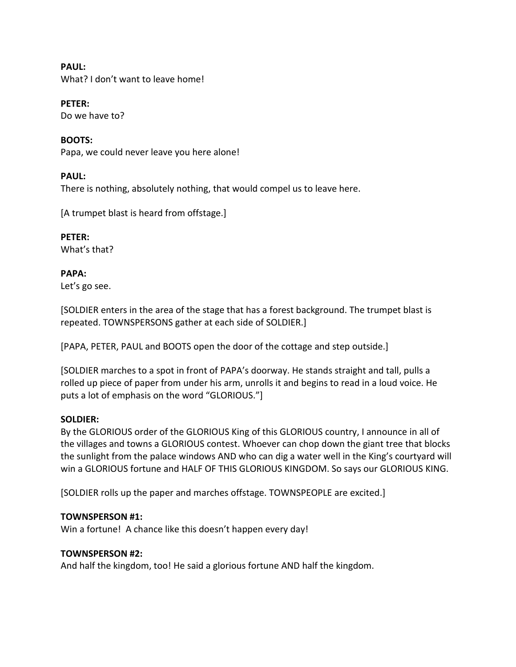**PAUL:** What? I don't want to leave home!

**PETER:**

Do we have to?

**BOOTS:** Papa, we could never leave you here alone!

**PAUL:** There is nothing, absolutely nothing, that would compel us to leave here.

[A trumpet blast is heard from offstage.]

**PETER:** What's that?

**PAPA:**

Let's go see.

[SOLDIER enters in the area of the stage that has a forest background. The trumpet blast is repeated. TOWNSPERSONS gather at each side of SOLDIER.]

[PAPA, PETER, PAUL and BOOTS open the door of the cottage and step outside.]

[SOLDIER marches to a spot in front of PAPA's doorway. He stands straight and tall, pulls a rolled up piece of paper from under his arm, unrolls it and begins to read in a loud voice. He puts a lot of emphasis on the word "GLORIOUS."]

## **SOLDIER:**

By the GLORIOUS order of the GLORIOUS King of this GLORIOUS country, I announce in all of the villages and towns a GLORIOUS contest. Whoever can chop down the giant tree that blocks the sunlight from the palace windows AND who can dig a water well in the King's courtyard will win a GLORIOUS fortune and HALF OF THIS GLORIOUS KINGDOM. So says our GLORIOUS KING.

[SOLDIER rolls up the paper and marches offstage. TOWNSPEOPLE are excited.]

## **TOWNSPERSON #1:**

Win a fortune! A chance like this doesn't happen every day!

## **TOWNSPERSON #2:**

And half the kingdom, too! He said a glorious fortune AND half the kingdom.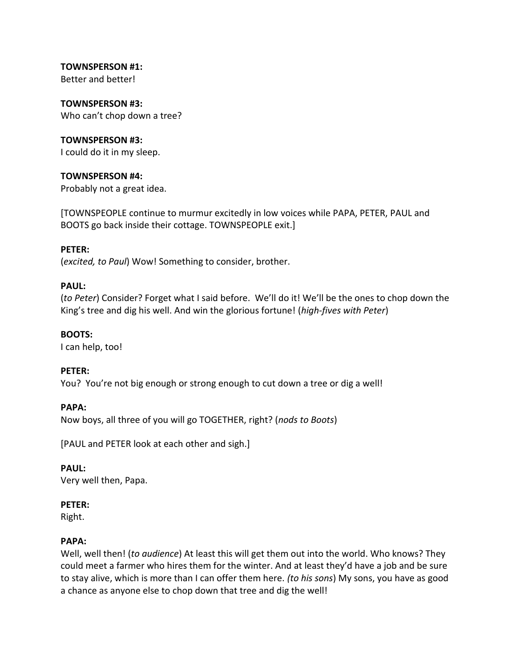**TOWNSPERSON #1:** Better and better!

**TOWNSPERSON #3:** Who can't chop down a tree?

**TOWNSPERSON #3:** I could do it in my sleep.

**TOWNSPERSON #4:** Probably not a great idea.

[TOWNSPEOPLE continue to murmur excitedly in low voices while PAPA, PETER, PAUL and BOOTS go back inside their cottage. TOWNSPEOPLE exit.]

#### **PETER:**

(*excited, to Paul*) Wow! Something to consider, brother.

#### **PAUL:**

(*to Peter*) Consider? Forget what I said before. We'll do it! We'll be the ones to chop down the King's tree and dig his well. And win the glorious fortune! (*high-fives with Peter*)

#### **BOOTS:**

I can help, too!

#### **PETER:**

You? You're not big enough or strong enough to cut down a tree or dig a well!

#### **PAPA:**

Now boys, all three of you will go TOGETHER, right? (*nods to Boots*)

[PAUL and PETER look at each other and sigh.]

## **PAUL:**

Very well then, Papa.

#### **PETER:**

Right.

#### **PAPA:**

Well, well then! (*to audience*) At least this will get them out into the world. Who knows? They could meet a farmer who hires them for the winter. And at least they'd have a job and be sure to stay alive, which is more than I can offer them here. *(to his sons*) My sons, you have as good a chance as anyone else to chop down that tree and dig the well!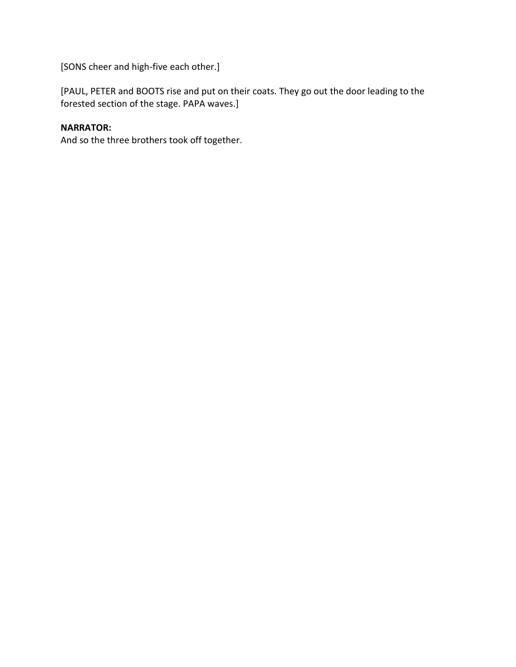[SONS cheer and high-five each other.]

[PAUL, PETER and BOOTS rise and put on their coats. They go out the door leading to the forested section of the stage. PAPA waves.]

## **NARRATOR:**

And so the three brothers took off together.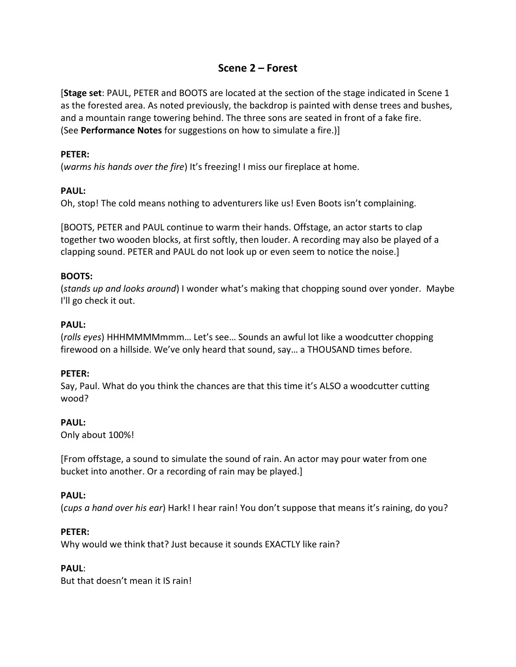## **Scene 2 – Forest**

[**Stage set**: PAUL, PETER and BOOTS are located at the section of the stage indicated in Scene 1 as the forested area. As noted previously, the backdrop is painted with dense trees and bushes, and a mountain range towering behind. The three sons are seated in front of a fake fire. (See **Performance Notes** for suggestions on how to simulate a fire.)]

## **PETER:**

(*warms his hands over the fire*) It's freezing! I miss our fireplace at home.

## **PAUL:**

Oh, stop! The cold means nothing to adventurers like us! Even Boots isn't complaining.

[BOOTS, PETER and PAUL continue to warm their hands. Offstage, an actor starts to clap together two wooden blocks, at first softly, then louder. A recording may also be played of a clapping sound. PETER and PAUL do not look up or even seem to notice the noise.]

## **BOOTS:**

(*stands up and looks around*) I wonder what's making that chopping sound over yonder. Maybe I'll go check it out.

## **PAUL:**

(*rolls eyes*) HHHMMMMmmm… Let's see… Sounds an awful lot like a woodcutter chopping firewood on a hillside. We've only heard that sound, say… a THOUSAND times before.

#### **PETER:**

Say, Paul. What do you think the chances are that this time it's ALSO a woodcutter cutting wood?

#### **PAUL:**

Only about 100%!

[From offstage, a sound to simulate the sound of rain. An actor may pour water from one bucket into another. Or a recording of rain may be played.]

#### **PAUL:**

(*cups a hand over his ear*) Hark! I hear rain! You don't suppose that means it's raining, do you?

#### **PETER:**

Why would we think that? Just because it sounds EXACTLY like rain?

#### **PAUL**:

But that doesn't mean it IS rain!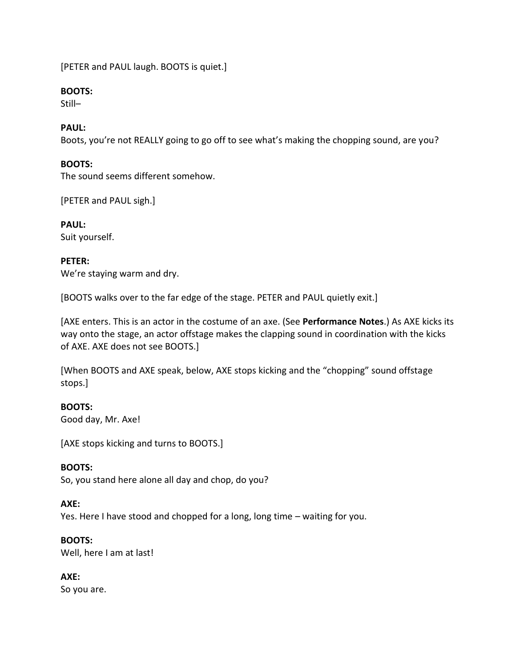[PETER and PAUL laugh. BOOTS is quiet.]

## **BOOTS:**

Still–

## **PAUL:**

Boots, you're not REALLY going to go off to see what's making the chopping sound, are you?

## **BOOTS:**

The sound seems different somehow.

[PETER and PAUL sigh.]

**PAUL:** Suit yourself.

#### **PETER:** We're staying warm and dry.

[BOOTS walks over to the far edge of the stage. PETER and PAUL quietly exit.]

[AXE enters. This is an actor in the costume of an axe. (See **Performance Notes**.) As AXE kicks its way onto the stage, an actor offstage makes the clapping sound in coordination with the kicks of AXE. AXE does not see BOOTS.]

[When BOOTS and AXE speak, below, AXE stops kicking and the "chopping" sound offstage stops.]

## **BOOTS:**

Good day, Mr. Axe!

[AXE stops kicking and turns to BOOTS.]

## **BOOTS:**

So, you stand here alone all day and chop, do you?

## **AXE:**

Yes. Here I have stood and chopped for a long, long time – waiting for you.

#### **BOOTS:**

Well, here I am at last!

## **AXE:**

So you are.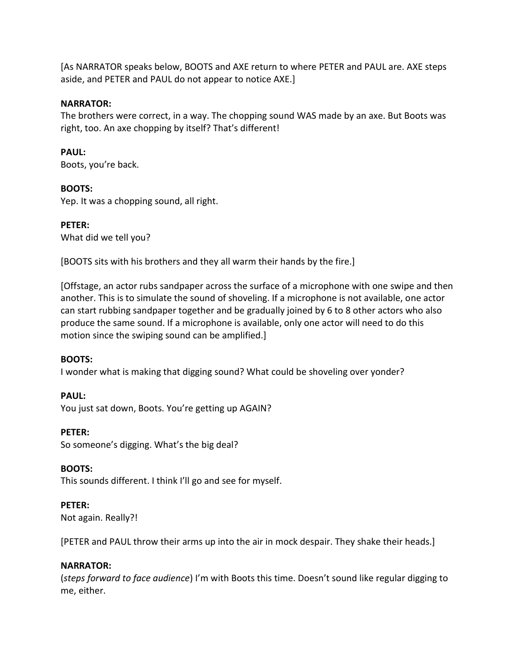[As NARRATOR speaks below, BOOTS and AXE return to where PETER and PAUL are. AXE steps aside, and PETER and PAUL do not appear to notice AXE.]

#### **NARRATOR:**

The brothers were correct, in a way. The chopping sound WAS made by an axe. But Boots was right, too. An axe chopping by itself? That's different!

#### **PAUL:**

Boots, you're back.

#### **BOOTS:**

Yep. It was a chopping sound, all right.

**PETER:** What did we tell you?

[BOOTS sits with his brothers and they all warm their hands by the fire.]

[Offstage, an actor rubs sandpaper across the surface of a microphone with one swipe and then another. This is to simulate the sound of shoveling. If a microphone is not available, one actor can start rubbing sandpaper together and be gradually joined by 6 to 8 other actors who also produce the same sound. If a microphone is available, only one actor will need to do this motion since the swiping sound can be amplified.]

#### **BOOTS:**

I wonder what is making that digging sound? What could be shoveling over yonder?

**PAUL:** You just sat down, Boots. You're getting up AGAIN?

**PETER:** So someone's digging. What's the big deal?

**BOOTS:** This sounds different. I think I'll go and see for myself.

#### **PETER:**

Not again. Really?!

[PETER and PAUL throw their arms up into the air in mock despair. They shake their heads.]

#### **NARRATOR:**

(*steps forward to face audience*) I'm with Boots this time. Doesn't sound like regular digging to me, either.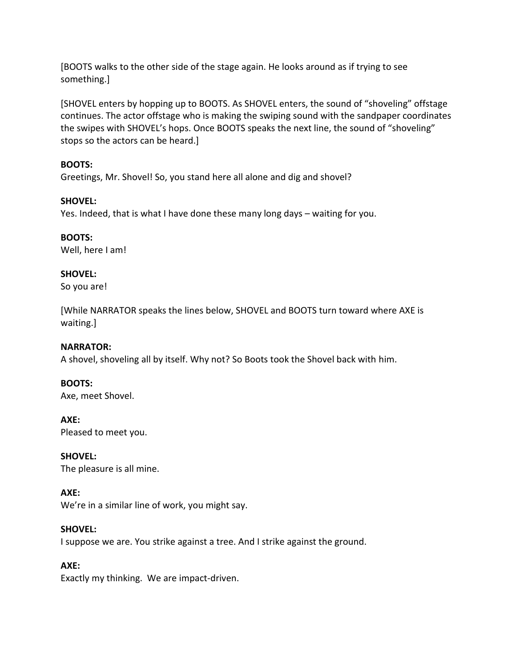[BOOTS walks to the other side of the stage again. He looks around as if trying to see something.]

[SHOVEL enters by hopping up to BOOTS. As SHOVEL enters, the sound of "shoveling" offstage continues. The actor offstage who is making the swiping sound with the sandpaper coordinates the swipes with SHOVEL's hops. Once BOOTS speaks the next line, the sound of "shoveling" stops so the actors can be heard.]

## **BOOTS:**

Greetings, Mr. Shovel! So, you stand here all alone and dig and shovel?

## **SHOVEL:**

Yes. Indeed, that is what I have done these many long days – waiting for you.

# **BOOTS:**

Well, here I am!

## **SHOVEL:**

So you are!

[While NARRATOR speaks the lines below, SHOVEL and BOOTS turn toward where AXE is waiting.]

## **NARRATOR:**

A shovel, shoveling all by itself. Why not? So Boots took the Shovel back with him.

## **BOOTS:**

Axe, meet Shovel.

**AXE:** Pleased to meet you.

#### **SHOVEL:** The pleasure is all mine.

#### **AXE:**

We're in a similar line of work, you might say.

## **SHOVEL:**

I suppose we are. You strike against a tree. And I strike against the ground.

## **AXE:**

Exactly my thinking. We are impact-driven.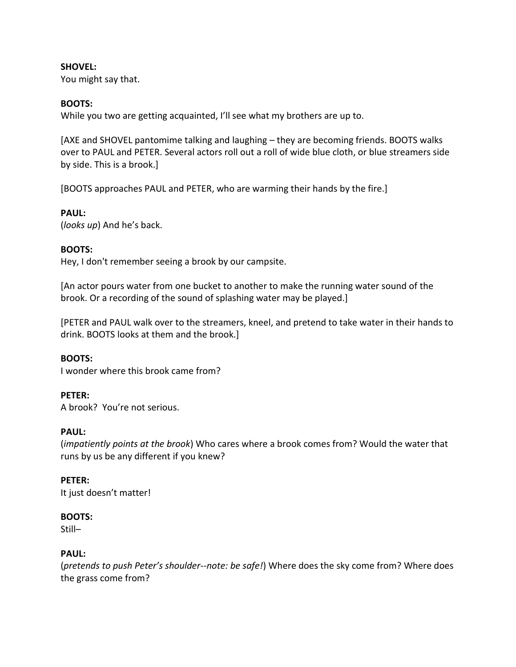#### **SHOVEL:**

You might say that.

#### **BOOTS:**

While you two are getting acquainted, I'll see what my brothers are up to.

[AXE and SHOVEL pantomime talking and laughing – they are becoming friends. BOOTS walks over to PAUL and PETER. Several actors roll out a roll of wide blue cloth, or blue streamers side by side. This is a brook.]

[BOOTS approaches PAUL and PETER, who are warming their hands by the fire.]

#### **PAUL:**

(*looks up*) And he's back.

#### **BOOTS:**

Hey, I don't remember seeing a brook by our campsite.

[An actor pours water from one bucket to another to make the running water sound of the brook. Or a recording of the sound of splashing water may be played.]

[PETER and PAUL walk over to the streamers, kneel, and pretend to take water in their hands to drink. BOOTS looks at them and the brook.]

#### **BOOTS:**

I wonder where this brook came from?

#### **PETER:**

A brook? You're not serious.

#### **PAUL:**

(*impatiently points at the brook*) Who cares where a brook comes from? Would the water that runs by us be any different if you knew?

**PETER:** It just doesn't matter!

#### **BOOTS:**

Still–

#### **PAUL:**

(*pretends to push Peter's shoulder--note: be safe!*) Where does the sky come from? Where does the grass come from?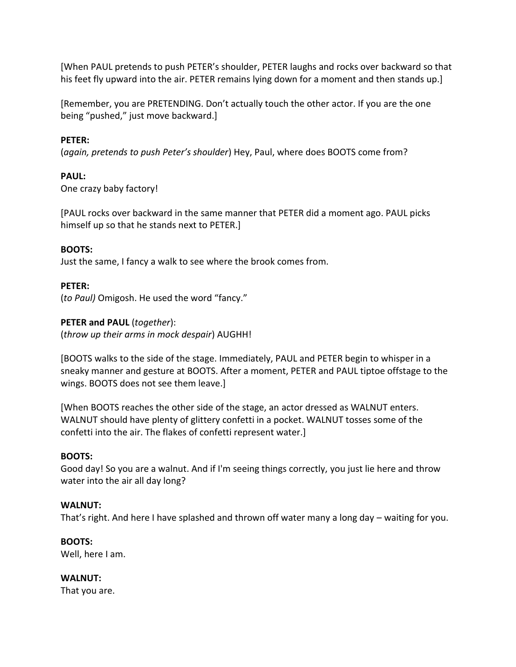[When PAUL pretends to push PETER's shoulder, PETER laughs and rocks over backward so that his feet fly upward into the air. PETER remains lying down for a moment and then stands up.]

[Remember, you are PRETENDING. Don't actually touch the other actor. If you are the one being "pushed," just move backward.]

#### **PETER:**

(*again, pretends to push Peter's shoulder*) Hey, Paul, where does BOOTS come from?

#### **PAUL:**

One crazy baby factory!

[PAUL rocks over backward in the same manner that PETER did a moment ago. PAUL picks himself up so that he stands next to PETER.]

#### **BOOTS:**

Just the same, I fancy a walk to see where the brook comes from.

#### **PETER:**

(*to Paul)* Omigosh. He used the word "fancy."

#### **PETER and PAUL** (*together*):

(*throw up their arms in mock despair*) AUGHH!

[BOOTS walks to the side of the stage. Immediately, PAUL and PETER begin to whisper in a sneaky manner and gesture at BOOTS. After a moment, PETER and PAUL tiptoe offstage to the wings. BOOTS does not see them leave.]

[When BOOTS reaches the other side of the stage, an actor dressed as WALNUT enters. WALNUT should have plenty of glittery confetti in a pocket. WALNUT tosses some of the confetti into the air. The flakes of confetti represent water.]

#### **BOOTS:**

Good day! So you are a walnut. And if I'm seeing things correctly, you just lie here and throw water into the air all day long?

#### **WALNUT:**

That's right. And here I have splashed and thrown off water many a long day – waiting for you.

#### **BOOTS:**

Well, here I am.

#### **WALNUT:**

That you are.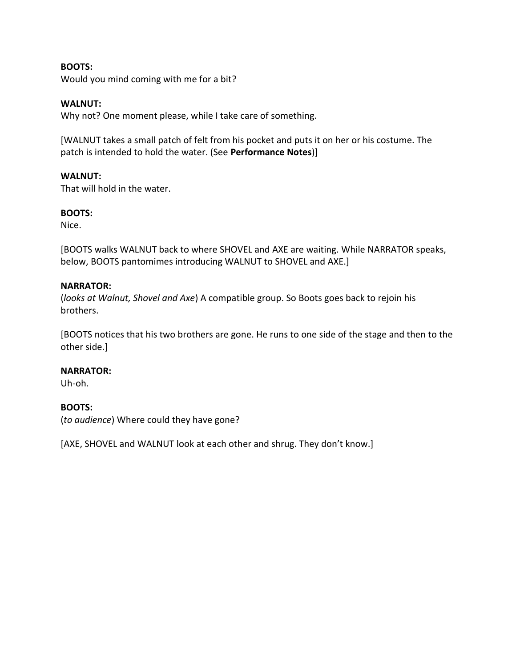#### **BOOTS:**

Would you mind coming with me for a bit?

#### **WALNUT:**

Why not? One moment please, while I take care of something.

[WALNUT takes a small patch of felt from his pocket and puts it on her or his costume. The patch is intended to hold the water. (See **Performance Notes**)]

#### **WALNUT:**

That will hold in the water.

#### **BOOTS:**

Nice.

[BOOTS walks WALNUT back to where SHOVEL and AXE are waiting. While NARRATOR speaks, below, BOOTS pantomimes introducing WALNUT to SHOVEL and AXE.]

#### **NARRATOR:**

(*looks at Walnut, Shovel and Axe*) A compatible group. So Boots goes back to rejoin his brothers.

[BOOTS notices that his two brothers are gone. He runs to one side of the stage and then to the other side.]

#### **NARRATOR:**

Uh-oh.

#### **BOOTS:**

(*to audience*) Where could they have gone?

[AXE, SHOVEL and WALNUT look at each other and shrug. They don't know.]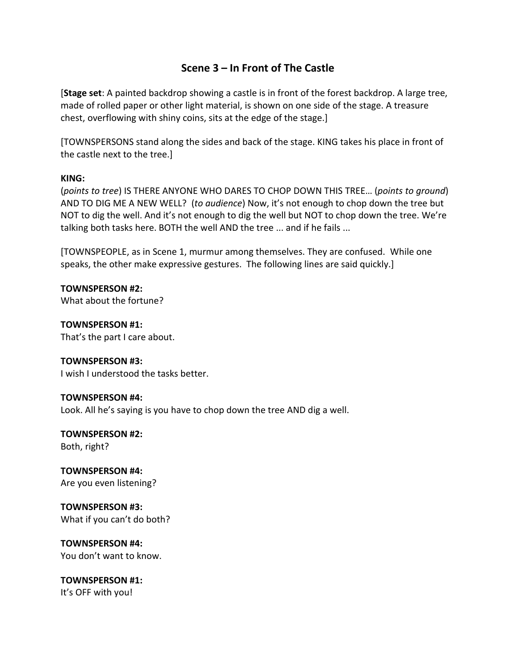# **Scene 3 – In Front of The Castle**

[**Stage set**: A painted backdrop showing a castle is in front of the forest backdrop. A large tree, made of rolled paper or other light material, is shown on one side of the stage. A treasure chest, overflowing with shiny coins, sits at the edge of the stage.]

[TOWNSPERSONS stand along the sides and back of the stage. KING takes his place in front of the castle next to the tree.]

## **KING:**

(*points to tree*) IS THERE ANYONE WHO DARES TO CHOP DOWN THIS TREE… (*points to ground*) AND TO DIG ME A NEW WELL? (*to audience*) Now, it's not enough to chop down the tree but NOT to dig the well. And it's not enough to dig the well but NOT to chop down the tree. We're talking both tasks here. BOTH the well AND the tree ... and if he fails ...

[TOWNSPEOPLE, as in Scene 1, murmur among themselves. They are confused. While one speaks, the other make expressive gestures. The following lines are said quickly.]

**TOWNSPERSON #2:**

What about the fortune?

**TOWNSPERSON #1:** That's the part I care about.

**TOWNSPERSON #3:** I wish I understood the tasks better.

**TOWNSPERSON #4:** Look. All he's saying is you have to chop down the tree AND dig a well.

**TOWNSPERSON #2:** Both, right?

**TOWNSPERSON #4:** Are you even listening?

**TOWNSPERSON #3:** What if you can't do both?

**TOWNSPERSON #4:** You don't want to know.

**TOWNSPERSON #1:** It's OFF with you!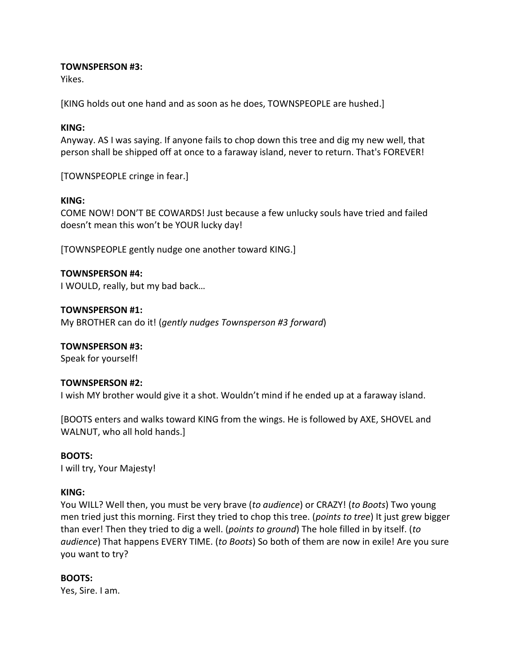#### **TOWNSPERSON #3:**

Yikes.

[KING holds out one hand and as soon as he does, TOWNSPEOPLE are hushed.]

#### **KING:**

Anyway. AS I was saying. If anyone fails to chop down this tree and dig my new well, that person shall be shipped off at once to a faraway island, never to return. That's FOREVER!

[TOWNSPEOPLE cringe in fear.]

#### **KING:**

COME NOW! DON'T BE COWARDS! Just because a few unlucky souls have tried and failed doesn't mean this won't be YOUR lucky day!

[TOWNSPEOPLE gently nudge one another toward KING.]

## **TOWNSPERSON #4:**

I WOULD, really, but my bad back…

#### **TOWNSPERSON #1:**

My BROTHER can do it! (*gently nudges Townsperson #3 forward*)

#### **TOWNSPERSON #3:**

Speak for yourself!

#### **TOWNSPERSON #2:**

I wish MY brother would give it a shot. Wouldn't mind if he ended up at a faraway island.

[BOOTS enters and walks toward KING from the wings. He is followed by AXE, SHOVEL and WALNUT, who all hold hands.]

#### **BOOTS:**

I will try, Your Majesty!

#### **KING:**

You WILL? Well then, you must be very brave (*to audience*) or CRAZY! (*to Boots*) Two young men tried just this morning. First they tried to chop this tree. (*points to tree*) It just grew bigger than ever! Then they tried to dig a well. (*points to ground*) The hole filled in by itself. (*to audience*) That happens EVERY TIME. (*to Boots*) So both of them are now in exile! Are you sure you want to try?

#### **BOOTS:**

Yes, Sire. I am.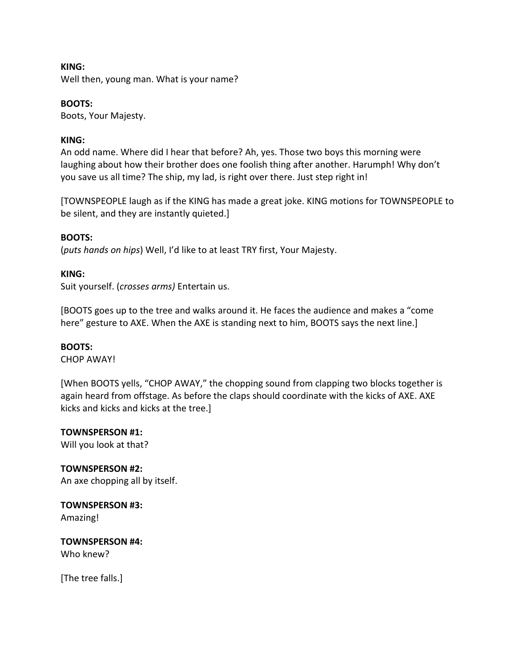#### **KING:**

Well then, young man. What is your name?

#### **BOOTS:**

Boots, Your Majesty.

#### **KING:**

An odd name. Where did I hear that before? Ah, yes. Those two boys this morning were laughing about how their brother does one foolish thing after another. Harumph! Why don't you save us all time? The ship, my lad, is right over there. Just step right in!

[TOWNSPEOPLE laugh as if the KING has made a great joke. KING motions for TOWNSPEOPLE to be silent, and they are instantly quieted.]

#### **BOOTS:**

(*puts hands on hips*) Well, I'd like to at least TRY first, Your Majesty.

#### **KING:**

Suit yourself. (*crosses arms)* Entertain us.

[BOOTS goes up to the tree and walks around it. He faces the audience and makes a "come here" gesture to AXE. When the AXE is standing next to him, BOOTS says the next line.]

#### **BOOTS:**

CHOP AWAY!

[When BOOTS yells, "CHOP AWAY," the chopping sound from clapping two blocks together is again heard from offstage. As before the claps should coordinate with the kicks of AXE. AXE kicks and kicks and kicks at the tree.]

**TOWNSPERSON #1:** Will you look at that?

**TOWNSPERSON #2:** An axe chopping all by itself.

**TOWNSPERSON #3:** Amazing!

**TOWNSPERSON #4:** Who knew?

[The tree falls.]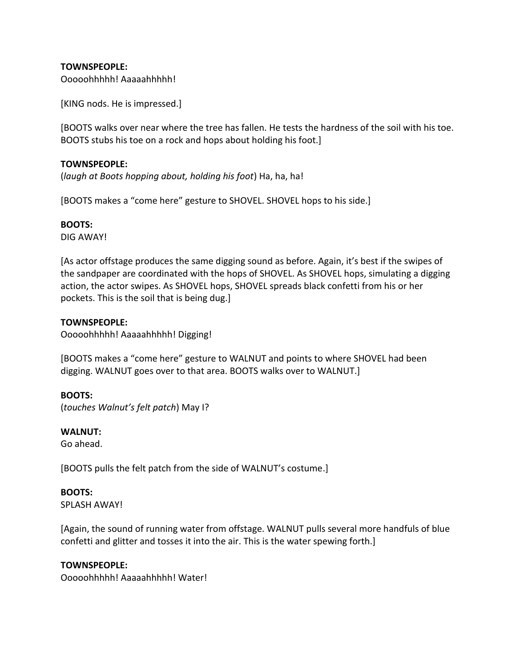#### **TOWNSPEOPLE:**

Ooooohhhhh! Aaaaahhhhh!

[KING nods. He is impressed.]

[BOOTS walks over near where the tree has fallen. He tests the hardness of the soil with his toe. BOOTS stubs his toe on a rock and hops about holding his foot.]

#### **TOWNSPEOPLE:**

(*laugh at Boots hopping about, holding his foot*) Ha, ha, ha!

[BOOTS makes a "come here" gesture to SHOVEL. SHOVEL hops to his side.]

#### **BOOTS:**

DIG AWAY!

[As actor offstage produces the same digging sound as before. Again, it's best if the swipes of the sandpaper are coordinated with the hops of SHOVEL. As SHOVEL hops, simulating a digging action, the actor swipes. As SHOVEL hops, SHOVEL spreads black confetti from his or her pockets. This is the soil that is being dug.]

#### **TOWNSPEOPLE:**

Ooooohhhhh! Aaaaahhhhh! Digging!

[BOOTS makes a "come here" gesture to WALNUT and points to where SHOVEL had been digging. WALNUT goes over to that area. BOOTS walks over to WALNUT.]

#### **BOOTS:**

(*touches Walnut's felt patch*) May I?

#### **WALNUT:**

Go ahead.

[BOOTS pulls the felt patch from the side of WALNUT's costume.]

#### **BOOTS:**

SPLASH AWAY!

[Again, the sound of running water from offstage. WALNUT pulls several more handfuls of blue confetti and glitter and tosses it into the air. This is the water spewing forth.]

#### **TOWNSPEOPLE:**

Ooooohhhhh! Aaaaahhhhh! Water!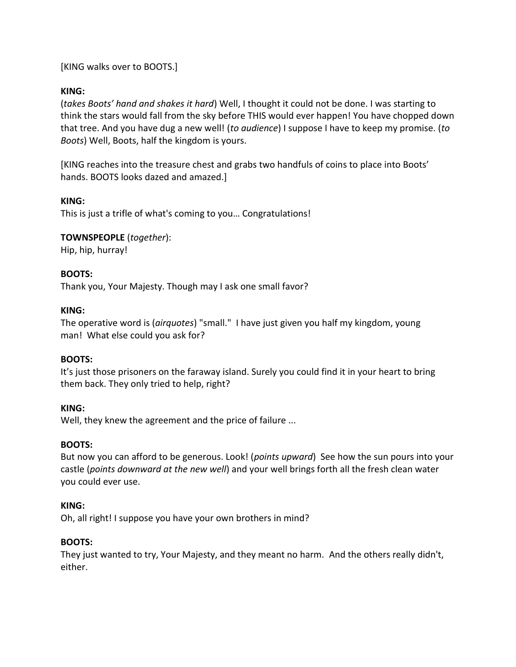[KING walks over to BOOTS.]

## **KING:**

(*takes Boots' hand and shakes it hard*) Well, I thought it could not be done. I was starting to think the stars would fall from the sky before THIS would ever happen! You have chopped down that tree. And you have dug a new well! (*to audience*) I suppose I have to keep my promise. (*to Boots*) Well, Boots, half the kingdom is yours.

[KING reaches into the treasure chest and grabs two handfuls of coins to place into Boots' hands. BOOTS looks dazed and amazed.]

#### **KING:**

This is just a trifle of what's coming to you… Congratulations!

## **TOWNSPEOPLE** (*together*):

Hip, hip, hurray!

## **BOOTS:**

Thank you, Your Majesty. Though may I ask one small favor?

#### **KING:**

The operative word is (*airquotes*) "small." I have just given you half my kingdom, young man! What else could you ask for?

#### **BOOTS:**

It's just those prisoners on the faraway island. Surely you could find it in your heart to bring them back. They only tried to help, right?

#### **KING:**

Well, they knew the agreement and the price of failure ...

#### **BOOTS:**

But now you can afford to be generous. Look! (*points upward*) See how the sun pours into your castle (*points downward at the new well*) and your well brings forth all the fresh clean water you could ever use.

#### **KING:**

Oh, all right! I suppose you have your own brothers in mind?

## **BOOTS:**

They just wanted to try, Your Majesty, and they meant no harm. And the others really didn't, either.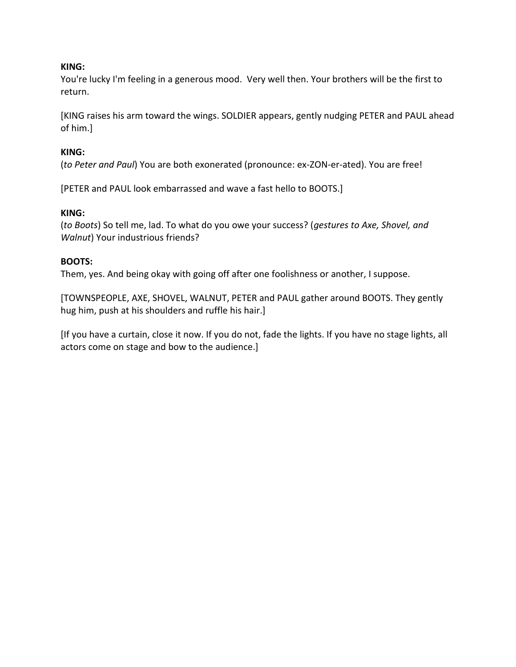#### **KING:**

You're lucky I'm feeling in a generous mood. Very well then. Your brothers will be the first to return.

[KING raises his arm toward the wings. SOLDIER appears, gently nudging PETER and PAUL ahead of him.]

#### **KING:**

(*to Peter and Paul*) You are both exonerated (pronounce: ex-ZON-er-ated). You are free!

[PETER and PAUL look embarrassed and wave a fast hello to BOOTS.]

#### **KING:**

(*to Boots*) So tell me, lad. To what do you owe your success? (*gestures to Axe, Shovel, and Walnut*) Your industrious friends?

#### **BOOTS:**

Them, yes. And being okay with going off after one foolishness or another, I suppose.

[TOWNSPEOPLE, AXE, SHOVEL, WALNUT, PETER and PAUL gather around BOOTS. They gently hug him, push at his shoulders and ruffle his hair.]

[If you have a curtain, close it now. If you do not, fade the lights. If you have no stage lights, all actors come on stage and bow to the audience.]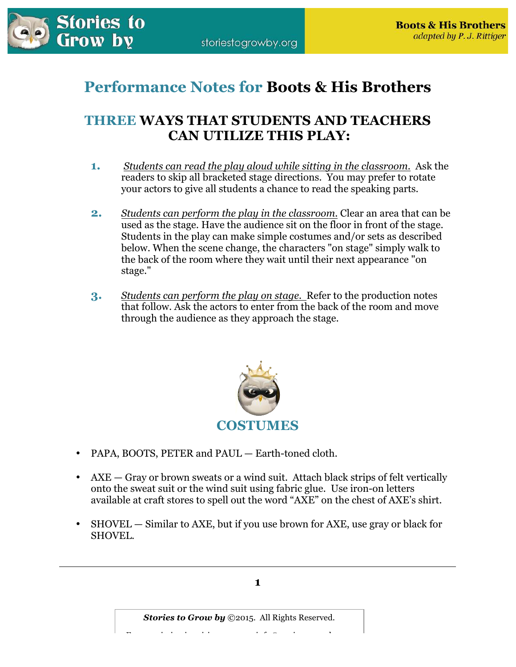

# **Performance Notes for Boots & His Brothers**

# **THREE WAYS THAT STUDENTS AND TEACHERS CAN UTILIZE THIS PLAY:**

- **1.** *Students can read the play aloud while sitting in the classroom.* Ask the readers to skip all bracketed stage directions. You may prefer to rotate your actors to give all students a chance to read the speaking parts.
- **2.** *Students can perform the play in the classroom.* Clear an area that can be used as the stage. Have the audience sit on the floor in front of the stage. Students in the play can make simple costumes and/or sets as described below. When the scene change, the characters "on stage" simply walk to the back of the room where they wait until their next appearance "on stage."
- **3.** *Students can perform the play on stage.* Refer to the production notes that follow. Ask the actors to enter from the back of the room and move through the audience as they approach the stage.



- PAPA, BOOTS, PETER and PAUL Earth-toned cloth.
- AXE Gray or brown sweats or a wind suit. Attach black strips of felt vertically onto the sweat suit or the wind suit using fabric glue. Use iron-on letters available at craft stores to spell out the word "AXE" on the chest of AXE's shirt.
- SHOVEL Similar to AXE, but if you use brown for AXE, use gray or black for SHOVEL.



*Stories to Grow by* ©2015. All Rights Reserved.  $\mathcal{F} = \begin{bmatrix} \mathcal{F} & \mathcal{F} & \mathcal{F} & \mathcal{F} & \mathcal{F} & \mathcal{F} & \mathcal{F} & \mathcal{F} & \mathcal{F} & \mathcal{F} & \mathcal{F} & \mathcal{F} & \mathcal{F} & \mathcal{F} & \mathcal{F} & \mathcal{F} & \mathcal{F} & \mathcal{F} & \mathcal{F} & \mathcal{F} & \mathcal{F} & \mathcal{F} & \mathcal{F} & \mathcal{F} & \mathcal{F} & \mathcal{F} & \mathcal{F} & \mathcal{F} & \mathcal{F} & \mathcal{$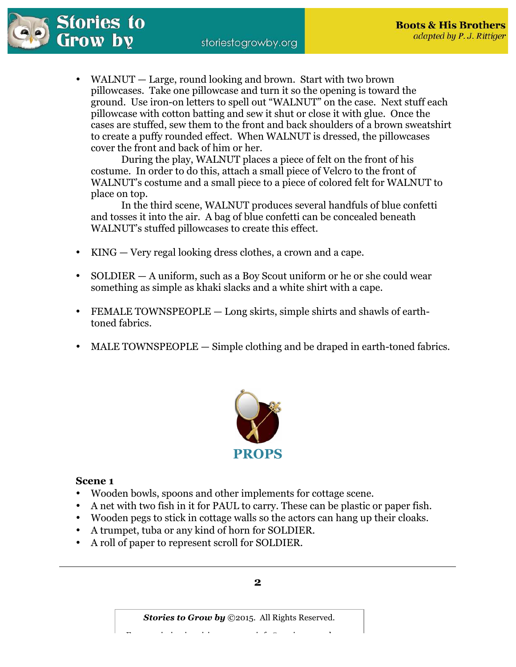• WALNUT — Large, round looking and brown. Start with two brown pillowcases. Take one pillowcase and turn it so the opening is toward the ground. Use iron-on letters to spell out "WALNUT" on the case. Next stuff each pillowcase with cotton batting and sew it shut or close it with glue. Once the cases are stuffed, sew them to the front and back shoulders of a brown sweatshirt to create a puffy rounded effect. When WALNUT is dressed, the pillowcases cover the front and back of him or her.

 During the play, WALNUT places a piece of felt on the front of his costume. In order to do this, attach a small piece of Velcro to the front of WALNUT's costume and a small piece to a piece of colored felt for WALNUT to place on top.

 In the third scene, WALNUT produces several handfuls of blue confetti and tosses it into the air. A bag of blue confetti can be concealed beneath WALNUT's stuffed pillowcases to create this effect.

- KING Very regal looking dress clothes, a crown and a cape.
- SOLDIER A uniform, such as a Boy Scout uniform or he or she could wear something as simple as khaki slacks and a white shirt with a cape.
- FEMALE TOWNSPEOPLE Long skirts, simple shirts and shawls of earthtoned fabrics.
- MALE TOWNSPEOPLE Simple clothing and be draped in earth-toned fabrics.



## **Scene 1**

- Wooden bowls, spoons and other implements for cottage scene.
- A net with two fish in it for PAUL to carry. These can be plastic or paper fish.
- Wooden pegs to stick in cottage walls so the actors can hang up their cloaks.
- A trumpet, tuba or any kind of horn for SOLDIER.
- A roll of paper to represent scroll for SOLDIER.

## **2**

*Stories to Grow by* ©2015. All Rights Reserved.

 $\mathcal{F} = \begin{bmatrix} \mathcal{F} & \mathcal{F} & \mathcal{F} & \mathcal{F} & \mathcal{F} & \mathcal{F} & \mathcal{F} & \mathcal{F} & \mathcal{F} & \mathcal{F} & \mathcal{F} & \mathcal{F} & \mathcal{F} & \mathcal{F} & \mathcal{F} & \mathcal{F} & \mathcal{F} & \mathcal{F} & \mathcal{F} & \mathcal{F} & \mathcal{F} & \mathcal{F} & \mathcal{F} & \mathcal{F} & \mathcal{F} & \mathcal{F} & \mathcal{F} & \mathcal{F} & \mathcal{F} & \mathcal{$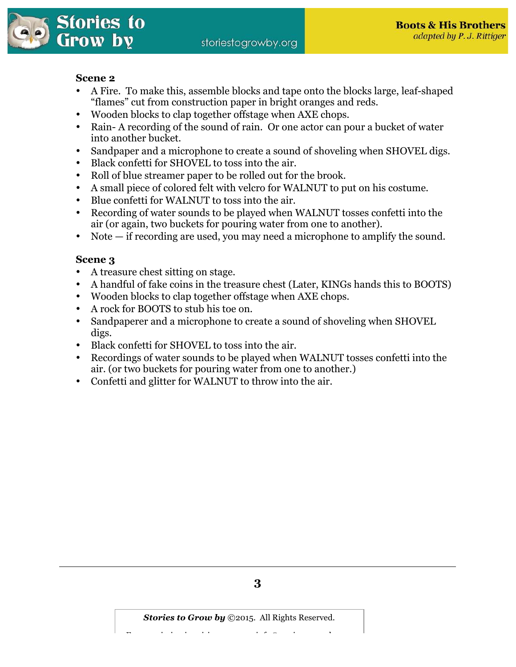

## **Scene 2**

- A Fire. To make this, assemble blocks and tape onto the blocks large, leaf-shaped "flames" cut from construction paper in bright oranges and reds.
- Wooden blocks to clap together offstage when AXE chops.
- Rain- A recording of the sound of rain. Or one actor can pour a bucket of water into another bucket.
- Sandpaper and a microphone to create a sound of shoveling when SHOVEL digs.
- Black confetti for SHOVEL to toss into the air.
- Roll of blue streamer paper to be rolled out for the brook.
- A small piece of colored felt with velcro for WALNUT to put on his costume.
- Blue confetti for WALNUT to toss into the air.
- Recording of water sounds to be played when WALNUT tosses confetti into the air (or again, two buckets for pouring water from one to another).
- Note if recording are used, you may need a microphone to amplify the sound.

## **Scene 3**

- A treasure chest sitting on stage.
- A handful of fake coins in the treasure chest (Later, KINGs hands this to BOOTS)
- Wooden blocks to clap together offstage when AXE chops.
- A rock for BOOTS to stub his toe on.
- Sandpaperer and a microphone to create a sound of shoveling when SHOVEL digs.
- Black confetti for SHOVEL to toss into the air.
- Recordings of water sounds to be played when WALNUT tosses confetti into the air. (or two buckets for pouring water from one to another.)
- Confetti and glitter for WALNUT to throw into the air.